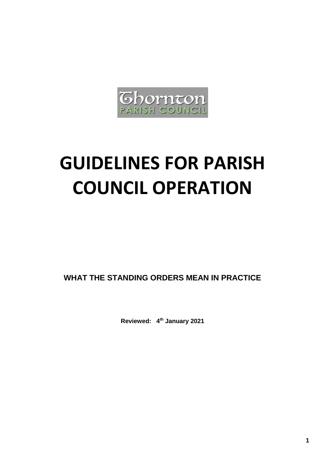

# **GUIDELINES FOR PARISH COUNCIL OPERATION**

**WHAT THE STANDING ORDERS MEAN IN PRACTICE**

**Reviewed: 4 th January 2021**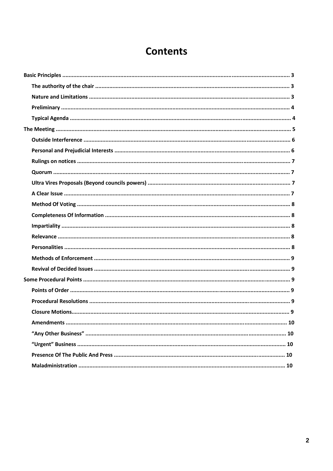# **Contents**

| <b>Amendments</b><br>.10 |
|--------------------------|
|                          |
|                          |
|                          |
|                          |
|                          |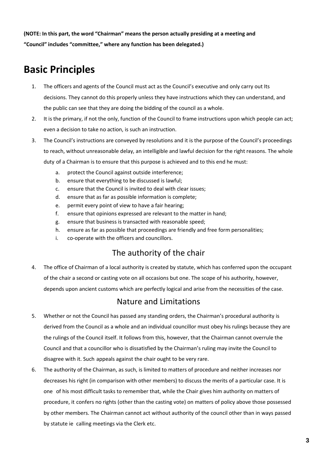**(NOTE: In this part, the word "Chairman" means the person actually presiding at a meeting and "Council" includes "committee," where any function has been delegated.)**

# **Basic Principles**

- 1. The officers and agents of the Council must act as the Council's executive and only carry out Its decisions. They cannot do this properly unless they have instructions which they can understand, and the public can see that they are doing the bidding of the council as a whole.
- 2. It is the primary, if not the only, function of the Council to frame instructions upon which people can act; even a decision to take no action, is such an instruction.
- 3. The Council's instructions are conveyed by resolutions and it is the purpose of the Council's proceedings to reach, without unreasonable delay, an intelligible and lawful decision for the right reasons. The whole duty of a Chairman is to ensure that this purpose is achieved and to this end he must:
	- a. protect the Council against outside interference;
	- b. ensure that everything to be discussed is lawful;
	- c. ensure that the Council is invited to deal with clear issues;
	- d. ensure that as far as possible information is complete;
	- e. permit every point of view to have a fair hearing;
	- f. ensure that opinions expressed are relevant to the matter in hand;
	- g. ensure that business is transacted with reasonable speed;
	- h. ensure as far as possible that proceedings are friendly and free form personalities;
	- i. co-operate with the officers and councillors.

#### The authority of the chair

4. The office of Chairman of a local authority is created by statute, which has conferred upon the occupant of the chair a second or casting vote on all occasions but one. The scope of his authority, however, depends upon ancient customs which are perfectly logical and arise from the necessities of the case.

#### Nature and Limitations

- 5. Whether or not the Council has passed any standing orders, the Chairman's procedural authority is derived from the Council as a whole and an individual councillor must obey his rulings because they are the rulings of the Council itself. It follows from this, however, that the Chairman cannot overrule the Council and that a councillor who is dissatisfied by the Chairman's ruling may invite the Council to disagree with it. Such appeals against the chair ought to be very rare.
- 6. The authority of the Chairman, as such, is limited to matters of procedure and neither increases nor decreases his right (in comparison with other members) to discuss the merits of a particular case. It is one of his most difficult tasks to remember that, while the Chair gives him authority on matters of procedure, it confers no rights (other than the casting vote) on matters of policy above those possessed by other members. The Chairman cannot act without authority of the council other than in ways passed by statute ie calling meetings via the Clerk etc.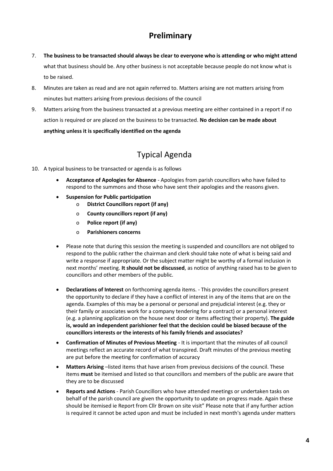# **Preliminary**

- 7. **The business to be transacted should always be clear to everyone who is attending or who might attend**  what that business should be. Any other business is not acceptable because people do not know what is to be raised.
- 8. Minutes are taken as read and are not again referred to. Matters arising are not matters arising from minutes but matters arising from previous decisions of the council
- 9. Matters arising from the business transacted at a previous meeting are either contained in a report if no action is required or are placed on the business to be transacted. **No decision can be made about anything unless it is specifically identified on the agenda**

# Typical Agenda

- 10. A typical business to be transacted or agenda is as follows
	- **Acceptance of Apologies for Absence**  Apologies from parish councillors who have failed to respond to the summons and those who have sent their apologies and the reasons given.
	- **Suspension for Public participation** 
		- o **District Councillors report (if any)** 
			- o **County councillors report (if any)**
			- o **Police report (if any)**
			- o **Parishioners concerns**
	- Please note that during this session the meeting is suspended and councillors are not obliged to respond to the public rather the chairman and clerk should take note of what is being said and write a response if appropriate. Or the subject matter might be worthy of a formal inclusion in next months' meeting. **It should not be discussed**, as notice of anything raised has to be given to councillors and other members of the public.
	- **Declarations of Interest** on forthcoming agenda items. This provides the councillors present the opportunity to declare if they have a conflict of interest in any of the items that are on the agenda. Examples of this may be a personal or personal and prejudicial interest (e.g. they or their family or associates work for a company tendering for a contract) or a personal interest (e.g. a planning application on the house next door or items affecting their property). **The guide is, would an independent parishioner feel that the decision could be biased because of the councillors interests or the interests of his family friends and associates?**
	- **Confirmation of Minutes of Previous Meeting**  It is important that the minutes of all council meetings reflect an accurate record of what transpired. Draft minutes of the previous meeting are put before the meeting for confirmation of accuracy
	- **Matters Arising** –listed items that have arisen from previous decisions of the council. These items **must** be itemised and listed so that councillors and members of the public are aware that they are to be discussed
	- **Reports and Actions**  Parish Councillors who have attended meetings or undertaken tasks on behalf of the parish council are given the opportunity to update on progress made. Again these should be itemised ie Report from Cllr Brown on site visit" Please note that if any further action is required it cannot be acted upon and must be included in next month's agenda under matters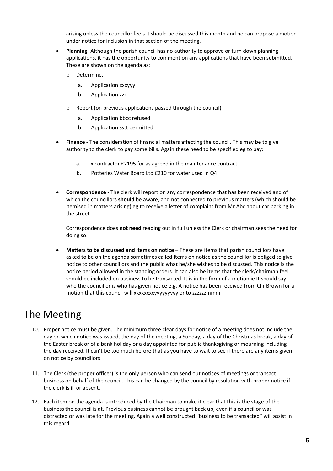arising unless the councillor feels it should be discussed this month and he can propose a motion under notice for inclusion in that section of the meeting.

- **Planning** Although the parish council has no authority to approve or turn down planning applications, it has the opportunity to comment on any applications that have been submitted. These are shown on the agenda as:
	- o Determine.
		- a. Application xxxyyy
		- b. Application zzz
	- o Report (on previous applications passed through the council)
		- a. Application bbcc refused
		- b. Application sstt permitted
- **Finance**  The consideration of financial matters affecting the council. This may be to give authority to the clerk to pay some bills. Again these need to be specified eg to pay:
	- a. x contractor £2195 for as agreed in the maintenance contract
	- b. Potteries Water Board Ltd £210 for water used in Q4
- **Correspondence**  The clerk will report on any correspondence that has been received and of which the councillors **should** be aware, and not connected to previous matters (which should be itemised in matters arising) eg to receive a letter of complaint from Mr Abc about car parking in the street

Correspondence does **not need** reading out in full unless the Clerk or chairman sees the need for doing so.

**Matters to be discussed and Items on notice - These are items that parish councillors have** asked to be on the agenda sometimes called Items on notice as the councillor is obliged to give notice to other councillors and the public what he/she wishes to be discussed. This notice is the notice period allowed in the standing orders. It can also be items that the clerk/chairman feel should be included on business to be transacted. It is in the form of a motion ie It should say who the councillor is who has given notice e.g. A notice has been received from Cllr Brown for a motion that this council will xxxxxxxxyyyyyyyyy or to zzzzzzmmm

# The Meeting

- 10. Proper notice must be given. The minimum three clear days for notice of a meeting does not include the day on which notice was issued, the day of the meeting, a Sunday, a day of the Christmas break, a day of the Easter break or of a bank holiday or a day appointed for public thanksgiving or mourning including the day received. It can't be too much before that as you have to wait to see if there are any items given on notice by councillors
- 11. The Clerk (the proper officer) is the only person who can send out notices of meetings or transact business on behalf of the council. This can be changed by the council by resolution with proper notice if the clerk is ill or absent.
- 12. Each item on the agenda is introduced by the Chairman to make it clear that this is the stage of the business the council is at. Previous business cannot be brought back up, even if a councillor was distracted or was late for the meeting. Again a well constructed "business to be transacted" will assist in this regard.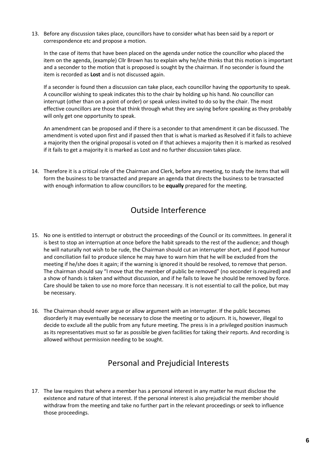13. Before any discussion takes place, councillors have to consider what has been said by a report or correspondence etc and propose a motion.

In the case of items that have been placed on the agenda under notice the councillor who placed the item on the agenda, (example) Cllr Brown has to explain why he/she thinks that this motion is important and a seconder to the motion that is proposed is sought by the chairman. If no seconder is found the item is recorded as **Lost** and is not discussed again.

If a seconder is found then a discussion can take place, each councillor having the opportunity to speak. A councillor wishing to speak indicates this to the chair by holding up his hand. No councillor can interrupt (other than on a point of order) or speak unless invited to do so by the chair. The most effective councillors are those that think through what they are saying before speaking as they probably will only get one opportunity to speak.

An amendment can be proposed and if there is a seconder to that amendment it can be discussed. The amendment is voted upon first and if passed then that is what is marked as Resolved if it fails to achieve a majority then the original proposal is voted on if that achieves a majority then it is marked as resolved if it fails to get a majority it is marked as Lost and no further discussion takes place.

14. Therefore it is a critical role of the Chairman and Clerk, before any meeting, to study the items that will form the business to be transacted and prepare an agenda that directs the business to be transacted with enough information to allow councillors to be **equally** prepared for the meeting.

## Outside Interference

- 15. No one is entitled to interrupt or obstruct the proceedings of the Council or its committees. In general it is best to stop an interruption at once before the habit spreads to the rest of the audience; and though he will naturally not wish to be rude, the Chairman should cut an interrupter short, and if good humour and conciliation fail to produce silence he may have to warn him that he will be excluded from the meeting if he/she does it again; if the warning is ignored it should be resolved, to remove that person. The chairman should say "I move that the member of public be removed" (no seconder is required) and a show of hands is taken and without discussion, and if he fails to leave he should be removed by force. Care should be taken to use no more force than necessary. It is not essential to call the police, but may be necessary.
- 16. The Chairman should never argue or allow argument with an interrupter. If the public becomes disorderly it may eventually be necessary to close the meeting or to adjourn. It is, however, illegal to decide to exclude all the public from any future meeting. The press is in a privileged position inasmuch as its representatives must so far as possible be given facilities for taking their reports. And recording is allowed without permission needing to be sought.

# Personal and Prejudicial Interests

17. The law requires that where a member has a personal interest in any matter he must disclose the existence and nature of that interest. If the personal interest is also prejudicial the member should withdraw from the meeting and take no further part in the relevant proceedings or seek to influence those proceedings.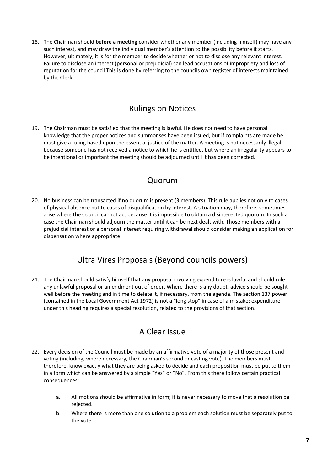18. The Chairman should **before a meeting** consider whether any member (including himself) may have any such interest, and may draw the individual member's attention to the possibility before it starts. However, ultimately, it is for the member to decide whether or not to disclose any relevant interest. Failure to disclose an interest (personal or prejudicial) can lead accusations of impropriety and loss of reputation for the council This is done by referring to the councils own register of interests maintained by the Clerk.

# Rulings on Notices

19. The Chairman must be satisfied that the meeting is lawful. He does not need to have personal knowledge that the proper notices and summonses have been issued, but if complaints are made he must give a ruling based upon the essential justice of the matter. A meeting is not necessarily illegal because someone has not received a notice to which he is entitled, but where an irregularity appears to be intentional or important the meeting should be adjourned until it has been corrected.

## Quorum

20. No business can be transacted if no quorum is present (3 members). This rule applies not only to cases of physical absence but to cases of disqualification by interest. A situation may, therefore, sometimes arise where the Council cannot act because it is impossible to obtain a disinterested quorum. In such a case the Chairman should adjourn the matter until it can be next dealt with. Those members with a prejudicial interest or a personal interest requiring withdrawal should consider making an application for dispensation where appropriate.

# Ultra Vires Proposals (Beyond councils powers)

21. The Chairman should satisfy himself that any proposal involving expenditure is lawful and should rule any unlawful proposal or amendment out of order. Where there is any doubt, advice should be sought well before the meeting and in time to delete it, if necessary, from the agenda. The section 137 power (contained in the Local Government Act 1972) is not a "long stop" in case of a mistake; expenditure under this heading requires a special resolution, related to the provisions of that section.

# A Clear Issue

- 22. Every decision of the Council must be made by an affirmative vote of a majority of those present and voting (including, where necessary, the Chairman's second or casting vote). The members must, therefore, know exactly what they are being asked to decide and each proposition must be put to them in a form which can be answered by a simple "Yes" or "No". From this there follow certain practical consequences:
	- a. All motions should be affirmative in form; it is never necessary to move that a resolution be rejected.
	- b. Where there is more than one solution to a problem each solution must be separately put to the vote.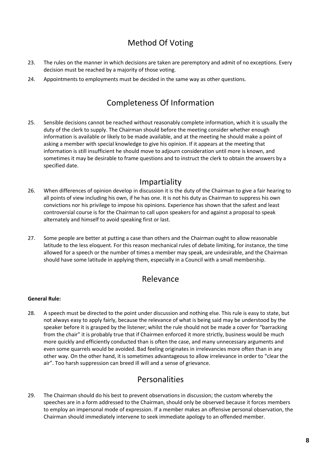# Method Of Voting

- 23. The rules on the manner in which decisions are taken are peremptory and admit of no exceptions. Every decision must be reached by a majority of those voting.
- 24. Appointments to employments must be decided in the same way as other questions.

# Completeness Of Information

25. Sensible decisions cannot be reached without reasonably complete information, which it is usually the duty of the clerk to supply. The Chairman should before the meeting consider whether enough information is available or likely to be made available, and at the meeting he should make a point of asking a member with special knowledge to give his opinion. If it appears at the meeting that information is still insufficient he should move to adjourn consideration until more is known, and sometimes it may be desirable to frame questions and to instruct the clerk to obtain the answers by a specified date.

#### Impartiality

- 26. When differences of opinion develop in discussion it is the duty of the Chairman to give a fair hearing to all points of view including his own, if he has one. It is not his duty as Chairman to suppress his own convictions nor his privilege to impose his opinions. Experience has shown that the safest and least controversial course is for the Chairman to call upon speakers for and against a proposal to speak alternately and himself to avoid speaking first or last.
- 27. Some people are better at putting a case than others and the Chairman ought to allow reasonable latitude to the less eloquent. For this reason mechanical rules of debate limiting, for instance, the time allowed for a speech or the number of times a member may speak, are undesirable, and the Chairman should have some latitude in applying them, especially in a Council with a small membership.

#### Relevance

#### **General Rule:**

28. A speech must be directed to the point under discussion and nothing else. This rule is easy to state, but not always easy to apply fairly, because the relevance of what is being said may be understood by the speaker before it is grasped by the listener; whilst the rule should not be made a cover for "barracking from the chair" it is probably true that if Chairmen enforced it more strictly, business would be much more quickly and efficiently conducted than is often the case, and many unnecessary arguments and even some quarrels would be avoided. Bad feeling originates in irrelevancies more often than in any other way. On the other hand, it is sometimes advantageous to allow irrelevance in order to "clear the air". Too harsh suppression can breed ill will and a sense of grievance.

# Personalities

29. The Chairman should do his best to prevent observations in discussion; the custom whereby the speeches are in a form addressed to the Chairman, should only be observed because it forces members to employ an impersonal mode of expression. If a member makes an offensive personal observation, the Chairman should immediately intervene to seek immediate apology to an offended member.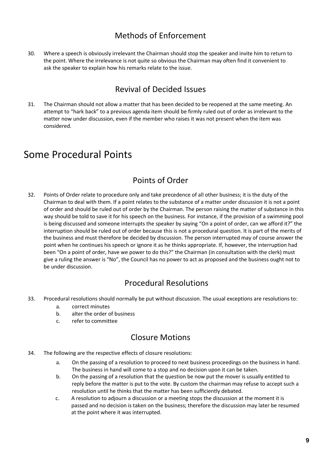# Methods of Enforcement

30. Where a speech is obviously irrelevant the Chairman should stop the speaker and invite him to return to the point. Where the irrelevance is not quite so obvious the Chairman may often find it convenient to ask the speaker to explain how his remarks relate to the issue.

# Revival of Decided Issues

31. The Chairman should not allow a matter that has been decided to be reopened at the same meeting. An attempt to "hark back" to a previous agenda item should be firmly ruled out of order as irrelevant to the matter now under discussion, even if the member who raises it was not present when the item was considered.

# Some Procedural Points

# Points of Order

32. Points of Order relate to procedure only and take precedence of all other business; it is the duty of the Chairman to deal with them. If a point relates to the substance of a matter under discussion it is not a point of order and should be ruled out of order by the Chairman. The person raising the matter of substance in this way should be told to save it for his speech on the business. For instance, if the provision of a swimming pool is being discussed and someone interrupts the speaker by saying "On a point of order, can we afford it?" the interruption should be ruled out of order because this is not a procedural question. It is part of the merits of the business and must therefore be decided by discussion. The person interrupted may of course answer the point when he continues his speech or ignore it as he thinks appropriate. If, however, the interruption had been "On a point of order, have we power to do this?" the Chairman (in consultation with the clerk) must give a ruling the answer is "No", the Council has no power to act as proposed and the business ought not to be under discussion.

# Procedural Resolutions

- 33. Procedural resolutions should normally be put without discussion. The usual exceptions are resolutions to:
	- a. correct minutes
	- b. alter the order of business
	- c. refer to committee

# Closure Motions

- 34. The following are the respective effects of closure resolutions:
	- a. On the passing of a resolution to proceed to next business proceedings on the business in hand. The business in hand will come to a stop and no decision upon it can be taken.
	- b. On the passing of a resolution that the question be now put the mover is usually entitled to reply before the matter is put to the vote. By custom the chairman may refuse to accept such a resolution until he thinks that the matter has been sufficiently debated.
	- c. A resolution to adjourn a discussion or a meeting stops the discussion at the moment it is passed and no decision is taken on the business; therefore the discussion may later be resumed at the point where it was interrupted.